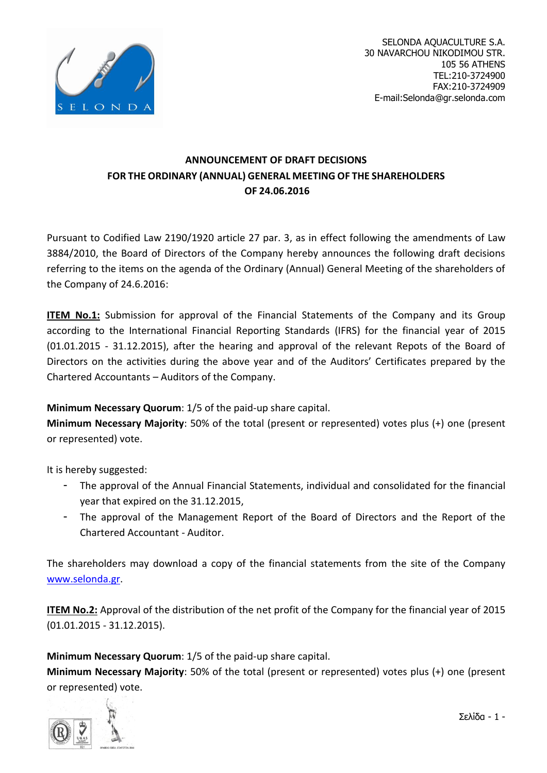

# **ANNOUNCEMENT OF DRAFT DECISIONS FOR THE ORDINARY (ANNUAL) GENERAL MEETING OF THE SHAREHOLDERS OF 24.06.2016**

Pursuant to Codified Law 2190/1920 article 27 par. 3, as in effect following the amendments of Law 3884/2010, the Board of Directors of the Company hereby announces the following draft decisions referring to the items on the agenda of the Ordinary (Annual) General Meeting of the shareholders of the Company of 24.6.2016:

**ITEM No.1:** Submission for approval of the Financial Statements of the Company and its Group according to the International Financial Reporting Standards (IFRS) for the financial year of 2015 (01.01.2015 - 31.12.2015), after the hearing and approval of the relevant Repots of the Board of Directors on the activities during the above year and of the Auditors' Certificates prepared by the Chartered Accountants – Auditors of the Company.

## **Minimum Necessary Quorum**: 1/5 of the paid-up share capital.

**Minimum Necessary Majority**: 50% of the total (present or represented) votes plus (+) one (present or represented) vote.

It is hereby suggested:

- The approval of the Annual Financial Statements, individual and consolidated for the financial year that expired on the 31.12.2015,
- The approval of the Management Report of the Board of Directors and the Report of the Chartered Accountant - Auditor.

The shareholders may download a copy of the financial statements from the site of the Company [www.selonda.gr.](http://www.selonda.gr/)

**ITEM No.2:** Approval of the distribution of the net profit of the Company for the financial year of 2015 (01.01.2015 - 31.12.2015).

**Minimum Necessary Quorum**: 1/5 of the paid-up share capital.

**Minimum Necessary Majority**: 50% of the total (present or represented) votes plus (+) one (present or represented) vote.

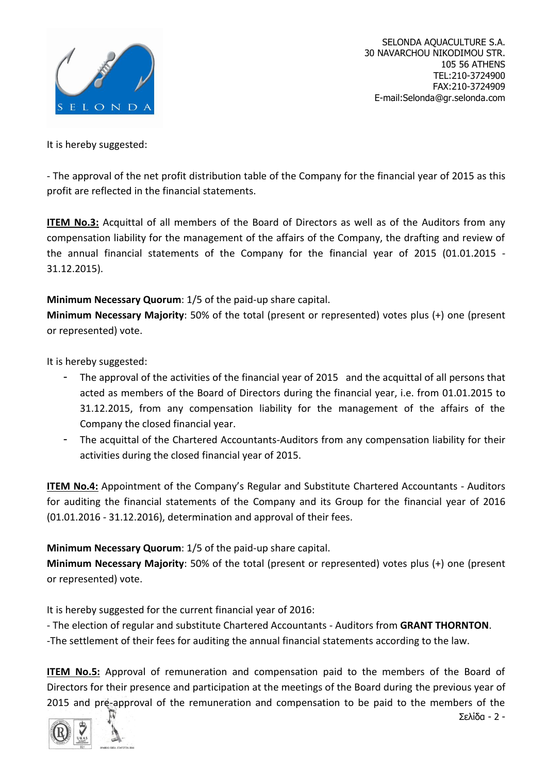

It is hereby suggested:

- The approval of the net profit distribution table of the Company for the financial year of 2015 as this profit are reflected in the financial statements.

**ITEM No.3:** Acquittal of all members of the Board of Directors as well as of the Auditors from any compensation liability for the management of the affairs of the Company, the drafting and review of the annual financial statements of the Company for the financial year of 2015 (01.01.2015 - 31.12.2015).

### **Minimum Necessary Quorum**: 1/5 of the paid-up share capital.

**Minimum Necessary Majority**: 50% of the total (present or represented) votes plus (+) one (present or represented) vote.

It is hereby suggested:

- The approval of the activities of the financial year of 2015 and the acquittal of all persons that acted as members of the Board of Directors during the financial year, i.e. from 01.01.2015 to 31.12.2015, from any compensation liability for the management of the affairs of the Company the closed financial year.
- The acquittal of the Chartered Accountants-Auditors from any compensation liability for their activities during the closed financial year of 2015.

**ITEM No.4:** Appointment of the Company's Regular and Substitute Chartered Accountants - Auditors for auditing the financial statements of the Company and its Group for the financial year of 2016 (01.01.2016 - 31.12.2016), determination and approval of their fees.

## **Minimum Necessary Quorum**: 1/5 of the paid-up share capital.

**Minimum Necessary Majority**: 50% of the total (present or represented) votes plus (+) one (present or represented) vote.

It is hereby suggested for the current financial year of 2016:

- The election of regular and substitute Chartered Accountants - Auditors from **GRANT THORNTON**.

-The settlement of their fees for auditing the annual financial statements according to the law.

**ITEM No.5:** Approval of remuneration and compensation paid to the members of the Board of Directors for their presence and participation at the meetings of the Board during the previous year of 2015 and pre-approval of the remuneration and compensation to be paid to the members of the

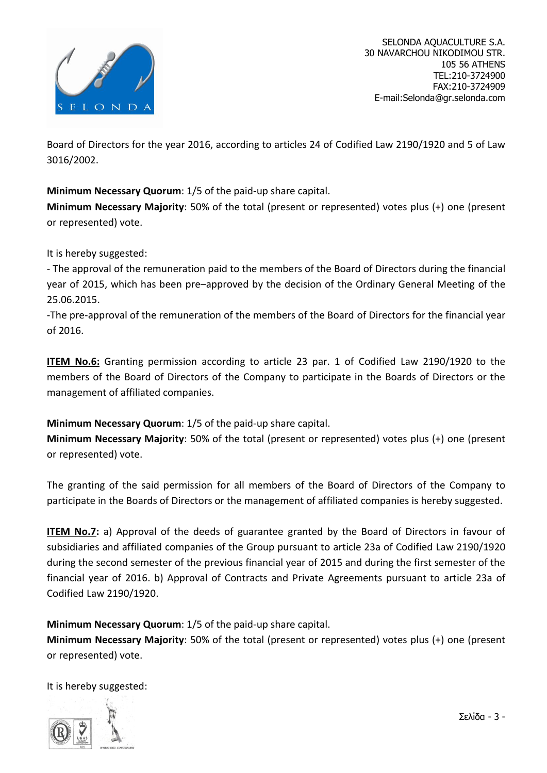

Board of Directors for the year 2016, according to articles 24 of Codified Law 2190/1920 and 5 of Law 3016/2002.

### **Minimum Necessary Quorum**: 1/5 of the paid-up share capital.

**Minimum Necessary Majority**: 50% of the total (present or represented) votes plus (+) one (present or represented) vote.

It is hereby suggested:

- The approval of the remuneration paid to the members of the Board of Directors during the financial year of 2015, which has been pre–approved by the decision of the Ordinary General Meeting of the 25.06.2015.

-The pre-approval of the remuneration of the members of the Board of Directors for the financial year of 2016.

**ITEM No.6:** Granting permission according to article 23 par. 1 of Codified Law 2190/1920 to the members of the Board of Directors of the Company to participate in the Boards of Directors or the management of affiliated companies.

#### **Minimum Necessary Quorum**: 1/5 of the paid-up share capital.

**Minimum Necessary Majority**: 50% of the total (present or represented) votes plus (+) one (present or represented) vote.

The granting of the said permission for all members of the Board of Directors of the Company to participate in the Boards of Directors or the management of affiliated companies is hereby suggested.

**ITEM No.7:** a) Approval of the deeds of guarantee granted by the Board of Directors in favour of subsidiaries and affiliated companies of the Group pursuant to article 23a of Codified Law 2190/1920 during the second semester of the previous financial year of 2015 and during the first semester of the financial year of 2016. b) Approval of Contracts and Private Agreements pursuant to article 23a of Codified Law 2190/1920.

**Minimum Necessary Quorum**: 1/5 of the paid-up share capital.

**Minimum Necessary Majority**: 50% of the total (present or represented) votes plus (+) one (present or represented) vote.

It is hereby suggested:

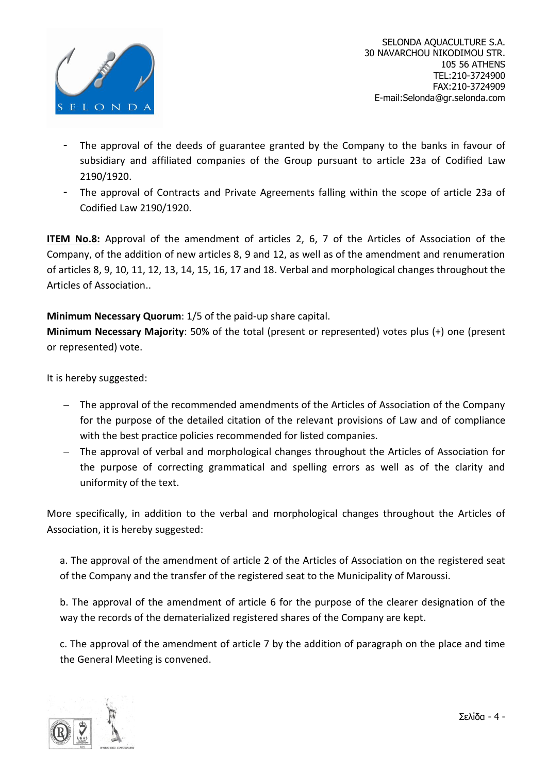

- The approval of the deeds of guarantee granted by the Company to the banks in favour of subsidiary and affiliated companies of the Group pursuant to article 23a of Codified Law 2190/1920.
- The approval of Contracts and Private Agreements falling within the scope of article 23a of Codified Law 2190/1920.

**ITEM No.8:** Approval of the amendment of articles 2, 6, 7 of the Articles of Association of the Company, of the addition of new articles 8, 9 and 12, as well as of the amendment and renumeration of articles 8, 9, 10, 11, 12, 13, 14, 15, 16, 17 and 18. Verbal and morphological changes throughout the Articles of Association..

**Minimum Necessary Quorum**: 1/5 of the paid-up share capital.

**Minimum Necessary Majority**: 50% of the total (present or represented) votes plus (+) one (present or represented) vote.

It is hereby suggested:

- The approval of the recommended amendments of the Articles of Association of the Company for the purpose of the detailed citation of the relevant provisions of Law and of compliance with the best practice policies recommended for listed companies.
- The approval of verbal and morphological changes throughout the Articles of Association for the purpose of correcting grammatical and spelling errors as well as of the clarity and uniformity of the text.

More specifically, in addition to the verbal and morphological changes throughout the Articles of Association, it is hereby suggested:

a. The approval of the amendment of article 2 of the Articles of Association on the registered seat of the Company and the transfer of the registered seat to the Municipality of Maroussi.

b. The approval of the amendment of article 6 for the purpose of the clearer designation of the way the records of the dematerialized registered shares of the Company are kept.

c. The approval of the amendment of article 7 by the addition of paragraph on the place and time the General Meeting is convened.

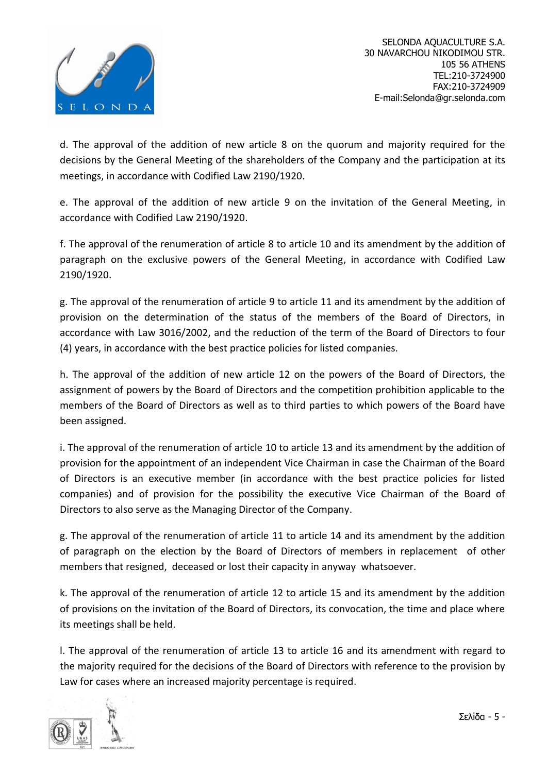

d. The approval of the addition of new article 8 on the quorum and majority required for the decisions by the General Meeting of the shareholders of the Company and the participation at its meetings, in accordance with Codified Law 2190/1920.

e. The approval of the addition of new article 9 on the invitation of the General Meeting, in accordance with Codified Law 2190/1920.

f. The approval of the renumeration of article 8 to article 10 and its amendment by the addition of paragraph on the exclusive powers of the General Meeting, in accordance with Codified Law 2190/1920.

g. The approval of the renumeration of article 9 to article 11 and its amendment by the addition of provision on the determination of the status of the members of the Board of Directors, in accordance with Law 3016/2002, and the reduction of the term of the Board of Directors to four (4) years, in accordance with the best practice policies for listed companies.

h. The approval of the addition of new article 12 on the powers of the Board of Directors, the assignment of powers by the Board of Directors and the competition prohibition applicable to the members of the Board of Directors as well as to third parties to which powers of the Board have been assigned.

i. The approval of the renumeration of article 10 to article 13 and its amendment by the addition of provision for the appointment of an independent Vice Chairman in case the Chairman of the Board of Directors is an executive member (in accordance with the best practice policies for listed companies) and of provision for the possibility the executive Vice Chairman of the Board of Directors to also serve as the Managing Director of the Company.

g. The approval of the renumeration of article 11 to article 14 and its amendment by the addition of paragraph on the election by the Board of Directors of members in replacement of other members that resigned, deceased or lost their capacity in anyway whatsoever.

k. The approval of the renumeration of article 12 to article 15 and its amendment by the addition of provisions on the invitation of the Board of Directors, its convocation, the time and place where its meetings shall be held.

l. The approval of the renumeration of article 13 to article 16 and its amendment with regard to the majority required for the decisions of the Board of Directors with reference to the provision by Law for cases where an increased majority percentage is required.